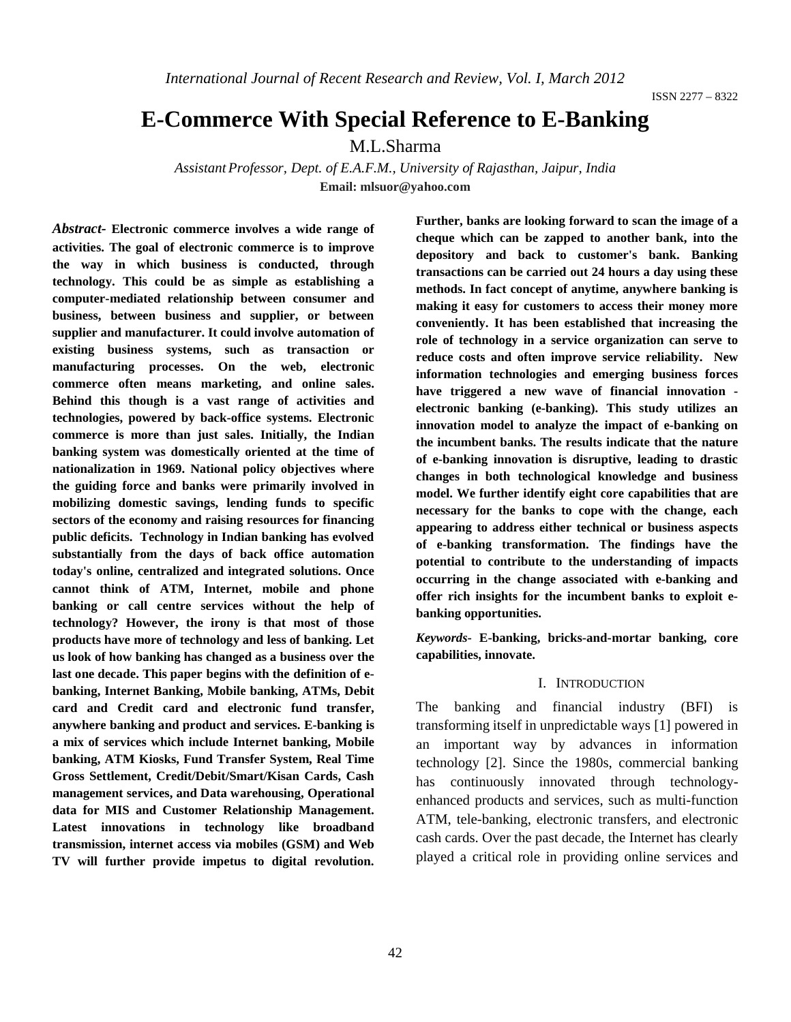# **E-Commerce With Special Reference to E-Banking**

M.L.Sharma

*Assistant Professor, Dept. of E.A.F.M., University of Rajasthan, Jaipur, India* **Email: mlsuor@yahoo.com**

*Abstract-* **Electronic commerce involves a wide range of activities. The goal of electronic commerce is to improve the way in which business is conducted, through technology. This could be as simple as establishing a computer-mediated relationship between consumer and business, between business and supplier, or between supplier and manufacturer. It could involve automation of existing business systems, such as transaction or manufacturing processes. On the web, electronic commerce often means marketing, and online sales. Behind this though is a vast range of activities and technologies, powered by back-office systems. Electronic commerce is more than just sales. Initially, the Indian banking system was domestically oriented at the time of nationalization in 1969. National policy objectives where the guiding force and banks were primarily involved in mobilizing domestic savings, lending funds to specific sectors of the economy and raising resources for financing public deficits. Technology in Indian banking has evolved substantially from the days of back office automation today's online, centralized and integrated solutions. Once cannot think of ATM, Internet, mobile and phone banking or call centre services without the help of technology? However, the irony is that most of those products have more of technology and less of banking. Let us look of how banking has changed as a business over the last one decade. This paper begins with the definition of ebanking, Internet Banking, Mobile banking, ATMs, Debit card and Credit card and electronic fund transfer, anywhere banking and product and services. E-banking is a mix of services which include Internet banking, Mobile banking, ATM Kiosks, Fund Transfer System, Real Time Gross Settlement, Credit/Debit/Smart/Kisan Cards, Cash management services, and Data warehousing, Operational data for MIS and Customer Relationship Management. Latest innovations in technology like broadband transmission, internet access via mobiles (GSM) and Web TV will further provide impetus to digital revolution.** 

**Further, banks are looking forward to scan the image of a cheque which can be zapped to another bank, into the depository and back to customer's bank. Banking transactions can be carried out 24 hours a day using these methods. In fact concept of anytime, anywhere banking is making it easy for customers to access their money more conveniently. It has been established that increasing the role of technology in a service organization can serve to reduce costs and often improve service reliability. New information technologies and emerging business forces have triggered a new wave of financial innovation electronic banking (e-banking). This study utilizes an innovation model to analyze the impact of e-banking on the incumbent banks. The results indicate that the nature of e-banking innovation is disruptive, leading to drastic changes in both technological knowledge and business model. We further identify eight core capabilities that are necessary for the banks to cope with the change, each appearing to address either technical or business aspects of e-banking transformation. The findings have the potential to contribute to the understanding of impacts occurring in the change associated with e-banking and offer rich insights for the incumbent banks to exploit ebanking opportunities.** 

*Keywords***- E-banking, bricks-and-mortar banking, core capabilities, innovate.**

### I. INTRODUCTION

The banking and financial industry (BFI) is transforming itself in unpredictable ways [1] powered in an important way by advances in information technology [2]. Since the 1980s, commercial banking has continuously innovated through technologyenhanced products and services, such as multi-function ATM, tele-banking, electronic transfers, and electronic cash cards. Over the past decade, the Internet has clearly played a critical role in providing online services and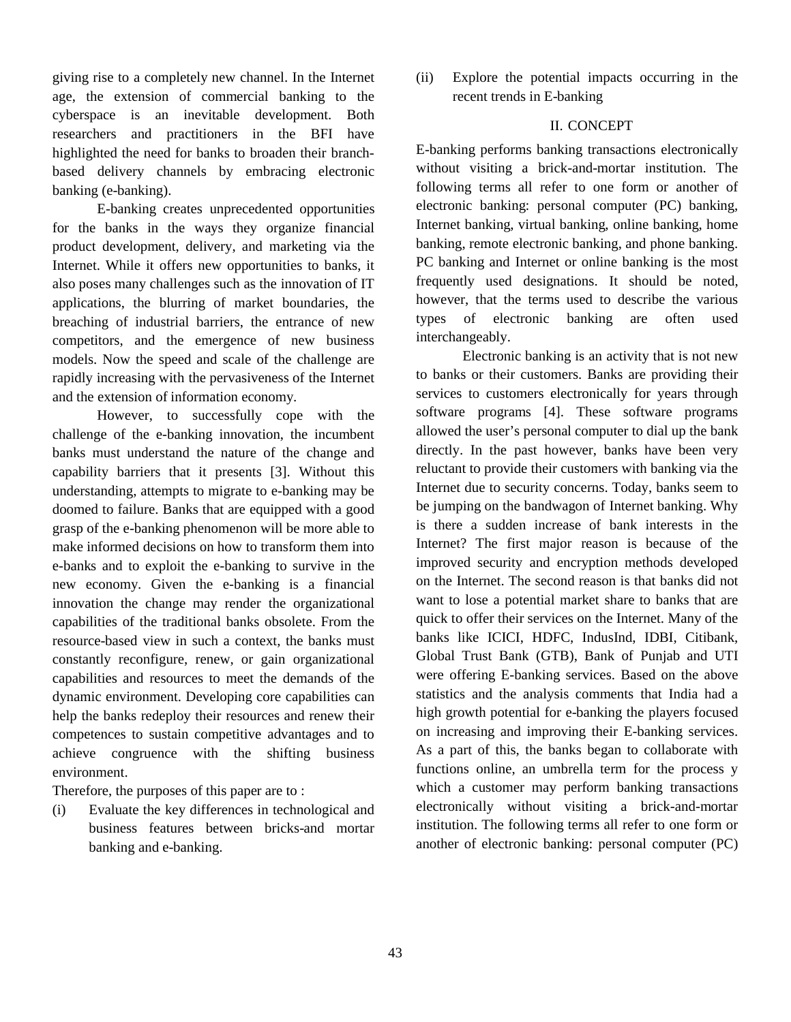giving rise to a completely new channel. In the Internet age, the extension of commercial banking to the cyberspace is an inevitable development. Both researchers and practitioners in the BFI have highlighted the need for banks to broaden their branchbased delivery channels by embracing electronic banking (e-banking).

E-banking creates unprecedented opportunities for the banks in the ways they organize financial product development, delivery, and marketing via the Internet. While it offers new opportunities to banks, it also poses many challenges such as the innovation of IT applications, the blurring of market boundaries, the breaching of industrial barriers, the entrance of new competitors, and the emergence of new business models. Now the speed and scale of the challenge are rapidly increasing with the pervasiveness of the Internet and the extension of information economy.

However, to successfully cope with the challenge of the e-banking innovation, the incumbent banks must understand the nature of the change and capability barriers that it presents [3]. Without this understanding, attempts to migrate to e-banking may be doomed to failure. Banks that are equipped with a good grasp of the e-banking phenomenon will be more able to make informed decisions on how to transform them into e-banks and to exploit the e-banking to survive in the new economy. Given the e-banking is a financial innovation the change may render the organizational capabilities of the traditional banks obsolete. From the resource-based view in such a context, the banks must constantly reconfigure, renew, or gain organizational capabilities and resources to meet the demands of the dynamic environment. Developing core capabilities can help the banks redeploy their resources and renew their competences to sustain competitive advantages and to achieve congruence with the shifting business environment.

Therefore, the purposes of this paper are to :

(i) Evaluate the key differences in technological and business features between bricks-and mortar banking and e-banking.

(ii) Explore the potential impacts occurring in the recent trends in E-banking

## II. CONCEPT

E-banking performs banking transactions electronically without visiting a brick-and-mortar institution. The following terms all refer to one form or another of electronic banking: personal computer (PC) banking, Internet banking, virtual banking, online banking, home banking, remote electronic banking, and phone banking. PC banking and Internet or online banking is the most frequently used designations. It should be noted, however, that the terms used to describe the various types of electronic banking are often used interchangeably.

Electronic banking is an activity that is not new to banks or their customers. Banks are providing their services to customers electronically for years through software programs [4]. These software programs allowed the user's personal computer to dial up the bank directly. In the past however, banks have been very reluctant to provide their customers with banking via the Internet due to security concerns. Today, banks seem to be jumping on the bandwagon of Internet banking. Why is there a sudden increase of bank interests in the Internet? The first major reason is because of the improved security and encryption methods developed on the Internet. The second reason is that banks did not want to lose a potential market share to banks that are quick to offer their services on the Internet. Many of the banks like ICICI, HDFC, IndusInd, IDBI, Citibank, Global Trust Bank (GTB), Bank of Punjab and UTI were offering E-banking services. Based on the above statistics and the analysis comments that India had a high growth potential for e-banking the players focused on increasing and improving their E-banking services. As a part of this, the banks began to collaborate with functions online, an umbrella term for the process y which a customer may perform banking transactions electronically without visiting a brick-and-mortar institution. The following terms all refer to one form or another of electronic banking: personal computer (PC)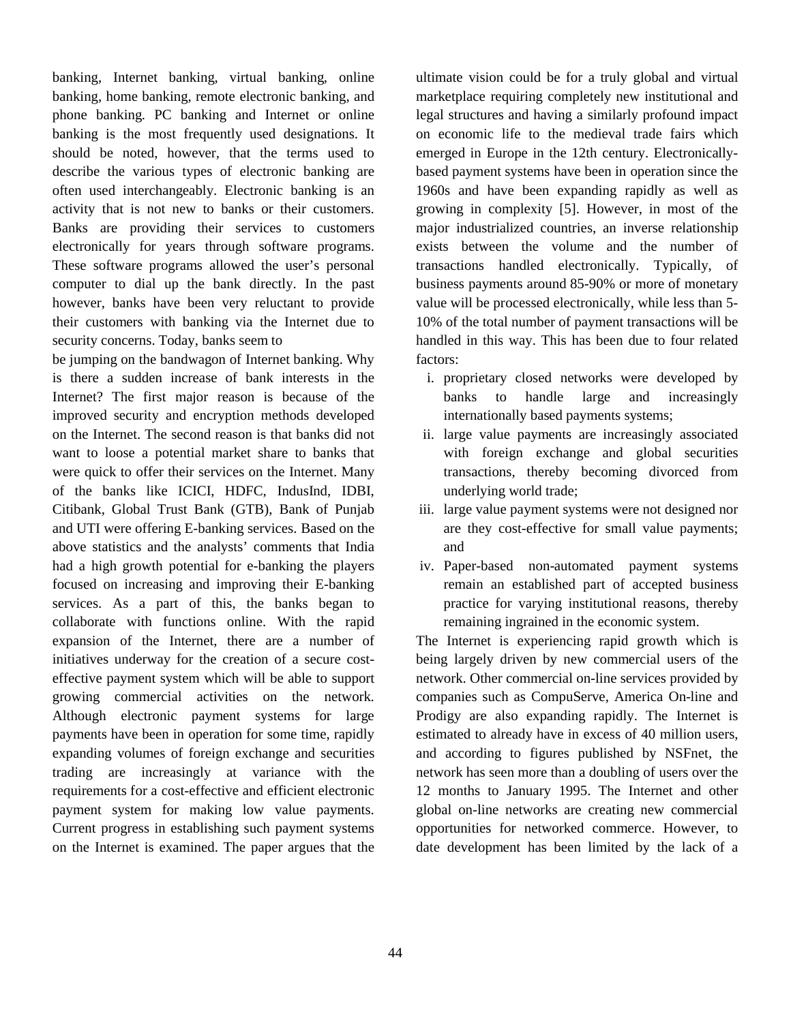banking, Internet banking, virtual banking, online banking, home banking, remote electronic banking, and phone banking. PC banking and Internet or online banking is the most frequently used designations. It should be noted, however, that the terms used to describe the various types of electronic banking are often used interchangeably. Electronic banking is an activity that is not new to banks or their customers. Banks are providing their services to customers electronically for years through software programs. These software programs allowed the user's personal computer to dial up the bank directly. In the past however, banks have been very reluctant to provide their customers with banking via the Internet due to security concerns. Today, banks seem to

be jumping on the bandwagon of Internet banking. Why is there a sudden increase of bank interests in the Internet? The first major reason is because of the improved security and encryption methods developed on the Internet. The second reason is that banks did not want to loose a potential market share to banks that were quick to offer their services on the Internet. Many of the banks like ICICI, HDFC, IndusInd, IDBI, Citibank, Global Trust Bank (GTB), Bank of Punjab and UTI were offering E-banking services. Based on the above statistics and the analysts' comments that India had a high growth potential for e-banking the players focused on increasing and improving their E-banking services. As a part of this, the banks began to collaborate with functions online. With the rapid expansion of the Internet, there are a number of initiatives underway for the creation of a secure costeffective payment system which will be able to support growing commercial activities on the network. Although electronic payment systems for large payments have been in operation for some time, rapidly expanding volumes of foreign exchange and securities trading are increasingly at variance with the requirements for a cost-effective and efficient electronic payment system for making low value payments. Current progress in establishing such payment systems on the Internet is examined. The paper argues that the

ultimate vision could be for a truly global and virtual marketplace requiring completely new institutional and legal structures and having a similarly profound impact on economic life to the medieval trade fairs which emerged in Europe in the 12th century. Electronicallybased payment systems have been in operation since the 1960s and have been expanding rapidly as well as growing in complexity [5]. However, in most of the major industrialized countries, an inverse relationship exists between the volume and the number of transactions handled electronically. Typically, of business payments around 85-90% or more of monetary value will be processed electronically, while less than 5- 10% of the total number of payment transactions will be handled in this way. This has been due to four related factors:

- i. proprietary closed networks were developed by banks to handle large and increasingly internationally based payments systems;
- ii. large value payments are increasingly associated with foreign exchange and global securities transactions, thereby becoming divorced from underlying world trade;
- iii. large value payment systems were not designed nor are they cost-effective for small value payments; and
- iv. Paper-based non-automated payment systems remain an established part of accepted business practice for varying institutional reasons, thereby remaining ingrained in the economic system.

The Internet is experiencing rapid growth which is being largely driven by new commercial users of the network. Other commercial on-line services provided by companies such as CompuServe, America On-line and Prodigy are also expanding rapidly. The Internet is estimated to already have in excess of 40 million users, and according to figures published by NSFnet, the network has seen more than a doubling of users over the 12 months to January 1995. The Internet and other global on-line networks are creating new commercial opportunities for networked commerce. However, to date development has been limited by the lack of a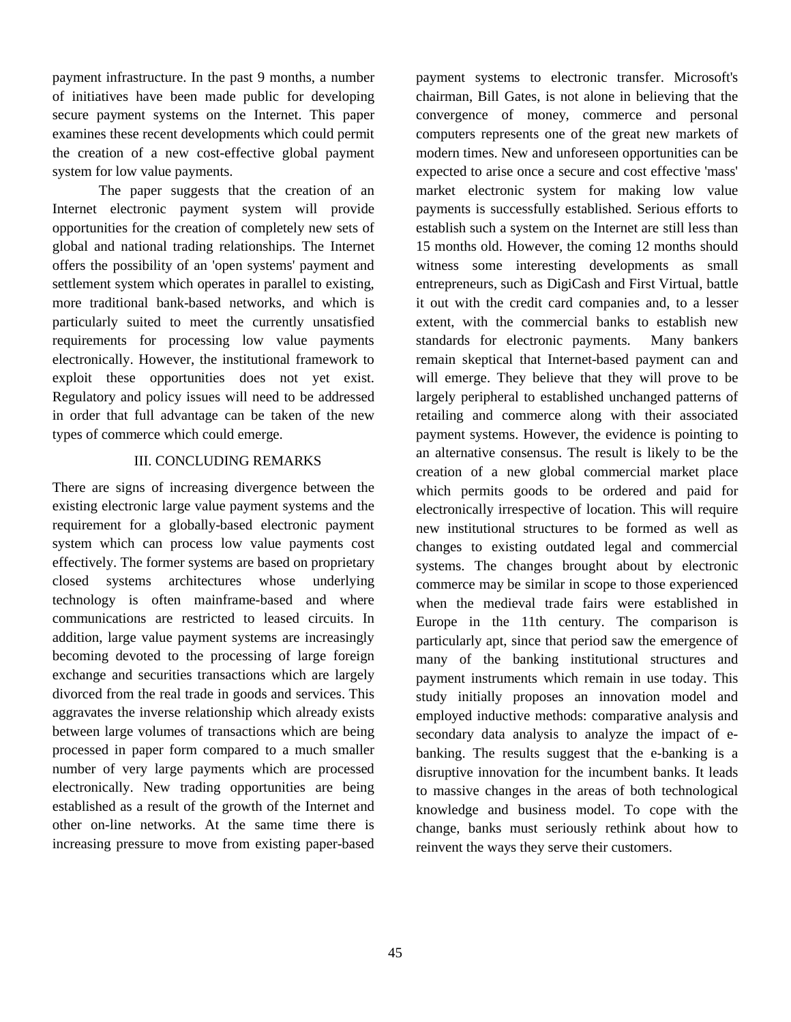payment infrastructure. In the past 9 months, a number of initiatives have been made public for developing secure payment systems on the Internet. This paper examines these recent developments which could permit the creation of a new cost-effective global payment system for low value payments.

The paper suggests that the creation of an Internet electronic payment system will provide opportunities for the creation of completely new sets of global and national trading relationships. The Internet offers the possibility of an 'open systems' payment and settlement system which operates in parallel to existing, more traditional bank-based networks, and which is particularly suited to meet the currently unsatisfied requirements for processing low value payments electronically. However, the institutional framework to exploit these opportunities does not yet exist. Regulatory and policy issues will need to be addressed in order that full advantage can be taken of the new types of commerce which could emerge.

## III. CONCLUDING REMARKS

There are signs of increasing divergence between the existing electronic large value payment systems and the requirement for a globally-based electronic payment system which can process low value payments cost effectively. The former systems are based on proprietary closed systems architectures whose underlying technology is often mainframe-based and where communications are restricted to leased circuits. In addition, large value payment systems are increasingly becoming devoted to the processing of large foreign exchange and securities transactions which are largely divorced from the real trade in goods and services. This aggravates the inverse relationship which already exists between large volumes of transactions which are being processed in paper form compared to a much smaller number of very large payments which are processed electronically. New trading opportunities are being established as a result of the growth of the Internet and other on-line networks. At the same time there is increasing pressure to move from existing paper-based

payment systems to electronic transfer. Microsoft's chairman, Bill Gates, is not alone in believing that the convergence of money, commerce and personal computers represents one of the great new markets of modern times. New and unforeseen opportunities can be expected to arise once a secure and cost effective 'mass' market electronic system for making low value payments is successfully established. Serious efforts to establish such a system on the Internet are still less than 15 months old. However, the coming 12 months should witness some interesting developments as small entrepreneurs, such as DigiCash and First Virtual, battle it out with the credit card companies and, to a lesser extent, with the commercial banks to establish new standards for electronic payments. Many bankers remain skeptical that Internet-based payment can and will emerge. They believe that they will prove to be largely peripheral to established unchanged patterns of retailing and commerce along with their associated payment systems. However, the evidence is pointing to an alternative consensus. The result is likely to be the creation of a new global commercial market place which permits goods to be ordered and paid for electronically irrespective of location. This will require new institutional structures to be formed as well as changes to existing outdated legal and commercial systems. The changes brought about by electronic commerce may be similar in scope to those experienced when the medieval trade fairs were established in Europe in the 11th century. The comparison is particularly apt, since that period saw the emergence of many of the banking institutional structures and payment instruments which remain in use today. This study initially proposes an innovation model and employed inductive methods: comparative analysis and secondary data analysis to analyze the impact of ebanking. The results suggest that the e-banking is a disruptive innovation for the incumbent banks. It leads to massive changes in the areas of both technological knowledge and business model. To cope with the change, banks must seriously rethink about how to reinvent the ways they serve their customers.